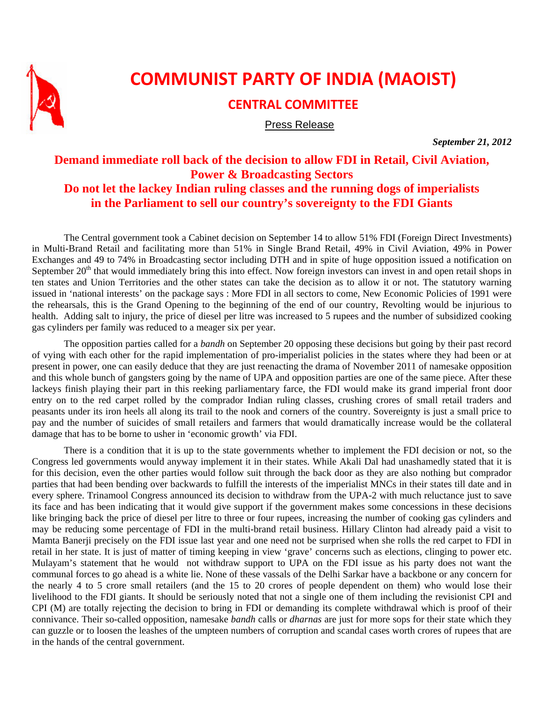

## **COMMUNIST PARTY OF INDIA (MAOIST)**

## **CENTRAL COMMITTEE**

Press Release

*September 21, 2012* 

## **Demand immediate roll back of the decision to allow FDI in Retail, Civil Aviation, Power & Broadcasting Sectors Do not let the lackey Indian ruling classes and the running dogs of imperialists in the Parliament to sell our country's sovereignty to the FDI Giants**

The Central government took a Cabinet decision on September 14 to allow 51% FDI (Foreign Direct Investments) in Multi-Brand Retail and facilitating more than 51% in Single Brand Retail, 49% in Civil Aviation, 49% in Power Exchanges and 49 to 74% in Broadcasting sector including DTH and in spite of huge opposition issued a notification on September  $20<sup>th</sup>$  that would immediately bring this into effect. Now foreign investors can invest in and open retail shops in ten states and Union Territories and the other states can take the decision as to allow it or not. The statutory warning issued in 'national interests' on the package says : More FDI in all sectors to come, New Economic Policies of 1991 were the rehearsals, this is the Grand Opening to the beginning of the end of our country, Revolting would be injurious to health. Adding salt to injury, the price of diesel per litre was increased to 5 rupees and the number of subsidized cooking gas cylinders per family was reduced to a meager six per year.

The opposition parties called for a *bandh* on September 20 opposing these decisions but going by their past record of vying with each other for the rapid implementation of pro-imperialist policies in the states where they had been or at present in power, one can easily deduce that they are just reenacting the drama of November 2011 of namesake opposition and this whole bunch of gangsters going by the name of UPA and opposition parties are one of the same piece. After these lackeys finish playing their part in this reeking parliamentary farce, the FDI would make its grand imperial front door entry on to the red carpet rolled by the comprador Indian ruling classes, crushing crores of small retail traders and peasants under its iron heels all along its trail to the nook and corners of the country. Sovereignty is just a small price to pay and the number of suicides of small retailers and farmers that would dramatically increase would be the collateral damage that has to be borne to usher in 'economic growth' via FDI.

There is a condition that it is up to the state governments whether to implement the FDI decision or not, so the Congress led governments would anyway implement it in their states. While Akali Dal had unashamedly stated that it is for this decision, even the other parties would follow suit through the back door as they are also nothing but comprador parties that had been bending over backwards to fulfill the interests of the imperialist MNCs in their states till date and in every sphere. Trinamool Congress announced its decision to withdraw from the UPA-2 with much reluctance just to save its face and has been indicating that it would give support if the government makes some concessions in these decisions like bringing back the price of diesel per litre to three or four rupees, increasing the number of cooking gas cylinders and may be reducing some percentage of FDI in the multi-brand retail business. Hillary Clinton had already paid a visit to Mamta Banerji precisely on the FDI issue last year and one need not be surprised when she rolls the red carpet to FDI in retail in her state. It is just of matter of timing keeping in view 'grave' concerns such as elections, clinging to power etc. Mulayam's statement that he would not withdraw support to UPA on the FDI issue as his party does not want the communal forces to go ahead is a white lie. None of these vassals of the Delhi Sarkar have a backbone or any concern for the nearly 4 to 5 crore small retailers (and the 15 to 20 crores of people dependent on them) who would lose their livelihood to the FDI giants. It should be seriously noted that not a single one of them including the revisionist CPI and CPI (M) are totally rejecting the decision to bring in FDI or demanding its complete withdrawal which is proof of their connivance. Their so-called opposition, namesake *bandh* calls or *dharnas* are just for more sops for their state which they can guzzle or to loosen the leashes of the umpteen numbers of corruption and scandal cases worth crores of rupees that are in the hands of the central government.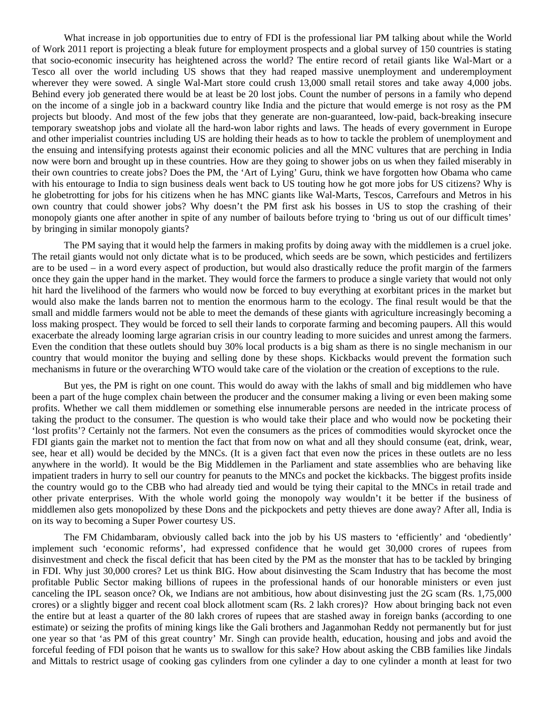What increase in job opportunities due to entry of FDI is the professional liar PM talking about while the World of Work 2011 report is projecting a bleak future for employment prospects and a global survey of 150 countries is stating that socio-economic insecurity has heightened across the world? The entire record of retail giants like Wal-Mart or a Tesco all over the world including US shows that they had reaped massive unemployment and underemployment wherever they were sowed. A single Wal-Mart store could crush 13,000 small retail stores and take away 4,000 jobs. Behind every job generated there would be at least be 20 lost jobs. Count the number of persons in a family who depend on the income of a single job in a backward country like India and the picture that would emerge is not rosy as the PM projects but bloody. And most of the few jobs that they generate are non-guaranteed, low-paid, back-breaking insecure temporary sweatshop jobs and violate all the hard-won labor rights and laws. The heads of every government in Europe and other imperialist countries including US are holding their heads as to how to tackle the problem of unemployment and the ensuing and intensifying protests against their economic policies and all the MNC vultures that are perching in India now were born and brought up in these countries. How are they going to shower jobs on us when they failed miserably in their own countries to create jobs? Does the PM, the 'Art of Lying' Guru, think we have forgotten how Obama who came with his entourage to India to sign business deals went back to US touting how he got more jobs for US citizens? Why is he globetrotting for jobs for his citizens when he has MNC giants like Wal-Marts, Tescos, Carrefours and Metros in his own country that could shower jobs? Why doesn't the PM first ask his bosses in US to stop the crashing of their monopoly giants one after another in spite of any number of bailouts before trying to 'bring us out of our difficult times' by bringing in similar monopoly giants?

The PM saying that it would help the farmers in making profits by doing away with the middlemen is a cruel joke. The retail giants would not only dictate what is to be produced, which seeds are be sown, which pesticides and fertilizers are to be used – in a word every aspect of production, but would also drastically reduce the profit margin of the farmers once they gain the upper hand in the market. They would force the farmers to produce a single variety that would not only hit hard the livelihood of the farmers who would now be forced to buy everything at exorbitant prices in the market but would also make the lands barren not to mention the enormous harm to the ecology. The final result would be that the small and middle farmers would not be able to meet the demands of these giants with agriculture increasingly becoming a loss making prospect. They would be forced to sell their lands to corporate farming and becoming paupers. All this would exacerbate the already looming large agrarian crisis in our country leading to more suicides and unrest among the farmers. Even the condition that these outlets should buy 30% local products is a big sham as there is no single mechanism in our country that would monitor the buying and selling done by these shops. Kickbacks would prevent the formation such mechanisms in future or the overarching WTO would take care of the violation or the creation of exceptions to the rule.

But yes, the PM is right on one count. This would do away with the lakhs of small and big middlemen who have been a part of the huge complex chain between the producer and the consumer making a living or even been making some profits. Whether we call them middlemen or something else innumerable persons are needed in the intricate process of taking the product to the consumer. The question is who would take their place and who would now be pocketing their 'lost profits'? Certainly not the farmers. Not even the consumers as the prices of commodities would skyrocket once the FDI giants gain the market not to mention the fact that from now on what and all they should consume (eat, drink, wear, see, hear et all) would be decided by the MNCs. (It is a given fact that even now the prices in these outlets are no less anywhere in the world). It would be the Big Middlemen in the Parliament and state assemblies who are behaving like impatient traders in hurry to sell our country for peanuts to the MNCs and pocket the kickbacks. The biggest profits inside the country would go to the CBB who had already tied and would be tying their capital to the MNCs in retail trade and other private enterprises. With the whole world going the monopoly way wouldn't it be better if the business of middlemen also gets monopolized by these Dons and the pickpockets and petty thieves are done away? After all, India is on its way to becoming a Super Power courtesy US.

The FM Chidambaram, obviously called back into the job by his US masters to 'efficiently' and 'obediently' implement such 'economic reforms', had expressed confidence that he would get 30,000 crores of rupees from disinvestment and check the fiscal deficit that has been cited by the PM as the monster that has to be tackled by bringing in FDI. Why just 30,000 crores? Let us think BIG. How about disinvesting the Scam Industry that has become the most profitable Public Sector making billions of rupees in the professional hands of our honorable ministers or even just canceling the IPL season once? Ok, we Indians are not ambitious, how about disinvesting just the 2G scam (Rs. 1,75,000 crores) or a slightly bigger and recent coal block allotment scam (Rs. 2 lakh crores)? How about bringing back not even the entire but at least a quarter of the 80 lakh crores of rupees that are stashed away in foreign banks (according to one estimate) or seizing the profits of mining kings like the Gali brothers and Jaganmohan Reddy not permanently but for just one year so that 'as PM of this great country' Mr. Singh can provide health, education, housing and jobs and avoid the forceful feeding of FDI poison that he wants us to swallow for this sake? How about asking the CBB families like Jindals and Mittals to restrict usage of cooking gas cylinders from one cylinder a day to one cylinder a month at least for two